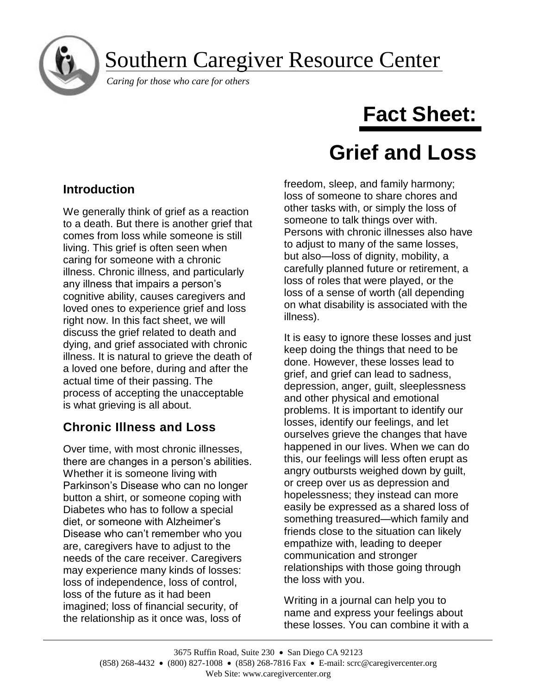Southern Caregiver Resource Center

*Caring for those who care for others*

# **Fact Sheet:**

# **Grief and Loss**

## **Introduction**

j

We generally think of grief as a reaction to a death. But there is another grief that comes from loss while someone is still living. This grief is often seen when caring for someone with a chronic illness. Chronic illness, and particularly any illness that impairs a person's cognitive ability, causes caregivers and loved ones to experience grief and loss right now. In this fact sheet, we will discuss the grief related to death and dying, and grief associated with chronic illness. It is natural to grieve the death of a loved one before, during and after the actual time of their passing. The process of accepting the unacceptable is what grieving is all about.

## **Chronic Illness and Loss**

Over time, with most chronic illnesses, there are changes in a person's abilities. Whether it is someone living with Parkinson's Disease who can no longer button a shirt, or someone coping with Diabetes who has to follow a special diet, or someone with Alzheimer's Disease who can't remember who you are, caregivers have to adjust to the needs of the care receiver. Caregivers may experience many kinds of losses: loss of independence, loss of control, loss of the future as it had been imagined; loss of financial security, of the relationship as it once was, loss of

freedom, sleep, and family harmony; loss of someone to share chores and other tasks with, or simply the loss of someone to talk things over with. Persons with chronic illnesses also have to adjust to many of the same losses, but also—loss of dignity, mobility, a carefully planned future or retirement, a loss of roles that were played, or the loss of a sense of worth (all depending on what disability is associated with the illness).

It is easy to ignore these losses and just keep doing the things that need to be done. However, these losses lead to grief, and grief can lead to sadness, depression, anger, guilt, sleeplessness and other physical and emotional problems. It is important to identify our losses, identify our feelings, and let ourselves grieve the changes that have happened in our lives. When we can do this, our feelings will less often erupt as angry outbursts weighed down by guilt, or creep over us as depression and hopelessness; they instead can more easily be expressed as a shared loss of something treasured—which family and friends close to the situation can likely empathize with, leading to deeper communication and stronger relationships with those going through the loss with you.

Writing in a journal can help you to name and express your feelings about these losses. You can combine it with a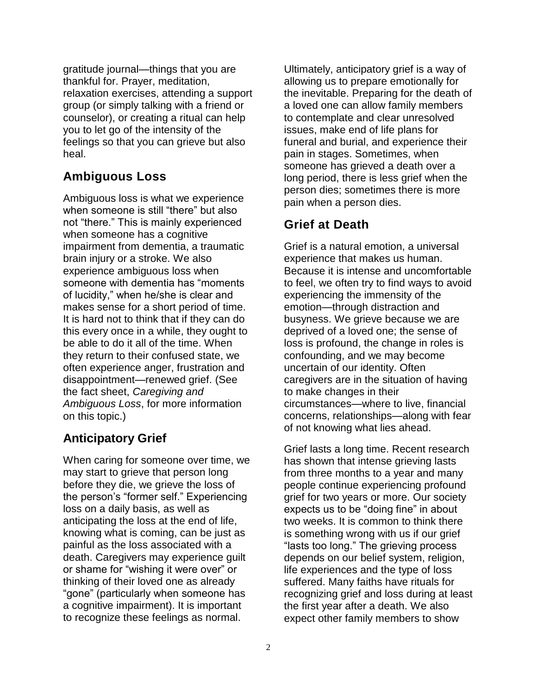gratitude journal—things that you are thankful for. Prayer, meditation, relaxation exercises, attending a support group (or simply talking with a friend or counselor), or creating a ritual can help you to let go of the intensity of the feelings so that you can grieve but also heal.

## **Ambiguous Loss**

Ambiguous loss is what we experience when someone is still "there" but also not "there." This is mainly experienced when someone has a cognitive impairment from dementia, a traumatic brain injury or a stroke. We also experience ambiguous loss when someone with dementia has "moments of lucidity," when he/she is clear and makes sense for a short period of time. It is hard not to think that if they can do this every once in a while, they ought to be able to do it all of the time. When they return to their confused state, we often experience anger, frustration and disappointment—renewed grief. (See the fact sheet, *Caregiving and Ambiguous Loss*, for more information on this topic.)

## **Anticipatory Grief**

When caring for someone over time, we may start to grieve that person long before they die, we grieve the loss of the person's "former self." Experiencing loss on a daily basis, as well as anticipating the loss at the end of life, knowing what is coming, can be just as painful as the loss associated with a death. Caregivers may experience guilt or shame for "wishing it were over" or thinking of their loved one as already "gone" (particularly when someone has a cognitive impairment). It is important to recognize these feelings as normal.

Ultimately, anticipatory grief is a way of allowing us to prepare emotionally for the inevitable. Preparing for the death of a loved one can allow family members to contemplate and clear unresolved issues, make end of life plans for funeral and burial, and experience their pain in stages. Sometimes, when someone has grieved a death over a long period, there is less grief when the person dies; sometimes there is more pain when a person dies.

## **Grief at Death**

Grief is a natural emotion, a universal experience that makes us human. Because it is intense and uncomfortable to feel, we often try to find ways to avoid experiencing the immensity of the emotion—through distraction and busyness. We grieve because we are deprived of a loved one; the sense of loss is profound, the change in roles is confounding, and we may become uncertain of our identity. Often caregivers are in the situation of having to make changes in their circumstances—where to live, financial concerns, relationships—along with fear of not knowing what lies ahead.

Grief lasts a long time. Recent research has shown that intense grieving lasts from three months to a year and many people continue experiencing profound grief for two years or more. Our society expects us to be "doing fine" in about two weeks. It is common to think there is something wrong with us if our grief "lasts too long." The grieving process depends on our belief system, religion, life experiences and the type of loss suffered. Many faiths have rituals for recognizing grief and loss during at least the first year after a death. We also expect other family members to show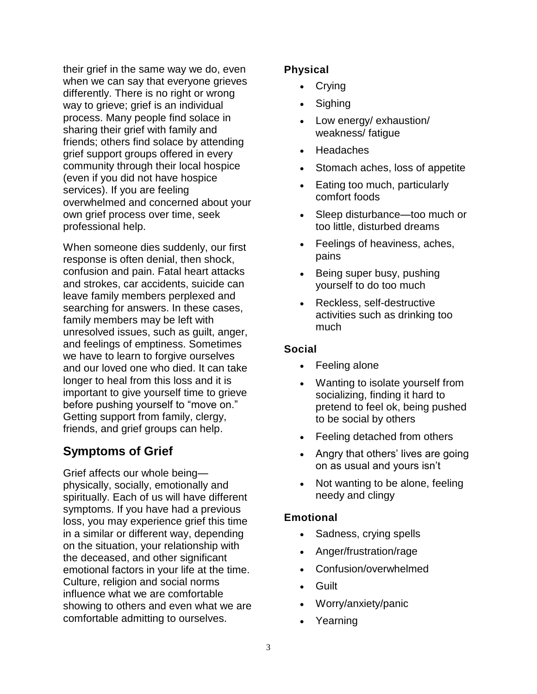their grief in the same way we do, even when we can say that everyone grieves differently. There is no right or wrong way to grieve; grief is an individual process. Many people find solace in sharing their grief with family and friends; others find solace by attending grief support groups offered in every community through their local hospice (even if you did not have hospice services). If you are feeling overwhelmed and concerned about your own grief process over time, seek professional help.

When someone dies suddenly, our first response is often denial, then shock, confusion and pain. Fatal heart attacks and strokes, car accidents, suicide can leave family members perplexed and searching for answers. In these cases, family members may be left with unresolved issues, such as guilt, anger, and feelings of emptiness. Sometimes we have to learn to forgive ourselves and our loved one who died. It can take longer to heal from this loss and it is important to give yourself time to grieve before pushing yourself to "move on." Getting support from family, clergy, friends, and grief groups can help.

## **Symptoms of Grief**

Grief affects our whole being physically, socially, emotionally and spiritually. Each of us will have different symptoms. If you have had a previous loss, you may experience grief this time in a similar or different way, depending on the situation, your relationship with the deceased, and other significant emotional factors in your life at the time. Culture, religion and social norms influence what we are comfortable showing to others and even what we are comfortable admitting to ourselves.

#### **Physical**

- **Crying**
- **Sighing**
- Low energy/ exhaustion/ weakness/ fatigue
- **Headaches**
- Stomach aches, loss of appetite
- Eating too much, particularly comfort foods
- Sleep disturbance—too much or too little, disturbed dreams
- Feelings of heaviness, aches, pains
- Being super busy, pushing yourself to do too much
- Reckless, self-destructive activities such as drinking too much

#### **Social**

- Feeling alone
- Wanting to isolate yourself from socializing, finding it hard to pretend to feel ok, being pushed to be social by others
- Feeling detached from others
- Angry that others' lives are going on as usual and yours isn't
- Not wanting to be alone, feeling needy and clingy

#### **Emotional**

- Sadness, crying spells
- Anger/frustration/rage
- Confusion/overwhelmed
- Guilt
- Worry/anxiety/panic
- Yearning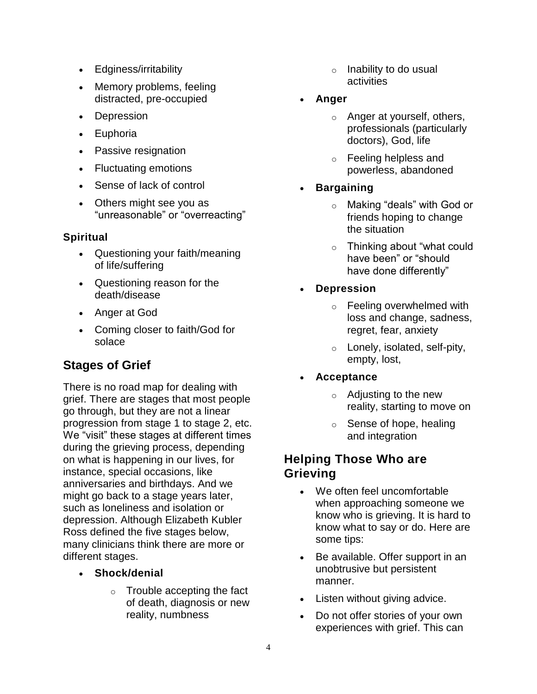- Edginess/irritability
- Memory problems, feeling distracted, pre-occupied
- Depression
- Euphoria
- Passive resignation
- Fluctuating emotions
- Sense of lack of control
- Others might see you as "unreasonable" or "overreacting"

#### **Spiritual**

- Questioning your faith/meaning of life/suffering
- Questioning reason for the death/disease
- Anger at God
- Coming closer to faith/God for solace

## **Stages of Grief**

There is no road map for dealing with grief. There are stages that most people go through, but they are not a linear progression from stage 1 to stage 2, etc. We "visit" these stages at different times during the grieving process, depending on what is happening in our lives, for instance, special occasions, like anniversaries and birthdays. And we might go back to a stage years later, such as loneliness and isolation or depression. Although Elizabeth Kubler Ross defined the five stages below, many clinicians think there are more or different stages.

- **Shock/denial**
	- o Trouble accepting the fact of death, diagnosis or new reality, numbness
- o Inability to do usual activities
- **Anger**
	- o Anger at yourself, others, professionals (particularly doctors), God, life
	- o Feeling helpless and powerless, abandoned
- **Bargaining**
	- o Making "deals" with God or friends hoping to change the situation
	- o Thinking about "what could have been" or "should have done differently"
- **Depression**
	- o Feeling overwhelmed with loss and change, sadness, regret, fear, anxiety
	- o Lonely, isolated, self-pity, empty, lost,
- **Acceptance**
	- o Adjusting to the new reality, starting to move on
	- $\circ$  Sense of hope, healing and integration

## **Helping Those Who are Grieving**

- We often feel uncomfortable when approaching someone we know who is grieving. It is hard to know what to say or do. Here are some tips:
- Be available. Offer support in an unobtrusive but persistent manner.
- Listen without giving advice.
- Do not offer stories of your own experiences with grief. This can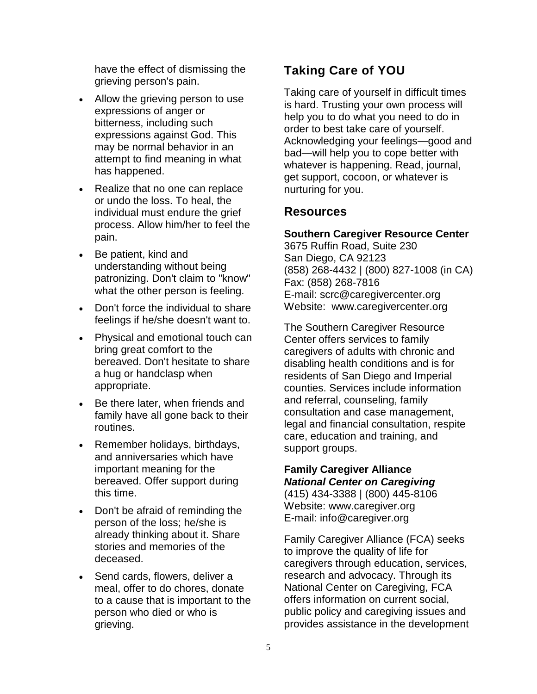have the effect of dismissing the grieving person's pain.

- Allow the grieving person to use expressions of anger or bitterness, including such expressions against God. This may be normal behavior in an attempt to find meaning in what has happened.
- Realize that no one can replace or undo the loss. To heal, the individual must endure the grief process. Allow him/her to feel the pain.
- Be patient, kind and understanding without being patronizing. Don't claim to "know" what the other person is feeling.
- Don't force the individual to share feelings if he/she doesn't want to.
- Physical and emotional touch can bring great comfort to the bereaved. Don't hesitate to share a hug or handclasp when appropriate.
- Be there later, when friends and family have all gone back to their routines.
- Remember holidays, birthdays, and anniversaries which have important meaning for the bereaved. Offer support during this time.
- Don't be afraid of reminding the person of the loss; he/she is already thinking about it. Share stories and memories of the deceased.
- Send cards, flowers, deliver a meal, offer to do chores, donate to a cause that is important to the person who died or who is grieving.

## **Taking Care of YOU**

Taking care of yourself in difficult times is hard. Trusting your own process will help you to do what you need to do in order to best take care of yourself. Acknowledging your feelings—good and bad—will help you to cope better with whatever is happening. Read, journal, get support, cocoon, or whatever is nurturing for you.

#### **Resources**

#### **Southern Caregiver Resource Center**

3675 Ruffin Road, Suite 230 San Diego, CA 92123 (858) 268-4432 | (800) 827-1008 (in CA) Fax: (858) 268-7816 E-mail: scrc@caregivercenter.org Website: www.caregivercenter.org

The Southern Caregiver Resource Center offers services to family caregivers of adults with chronic and disabling health conditions and is for residents of San Diego and Imperial counties. Services include information and referral, counseling, family consultation and case management, legal and financial consultation, respite care, education and training, and support groups.

#### **Family Caregiver Alliance** *National Center on Caregiving*

(415) 434-3388 | (800) 445-8106 Website: www.caregiver.org E-mail: info@caregiver.org

Family Caregiver Alliance (FCA) seeks to improve the quality of life for caregivers through education, services, research and advocacy. Through its National Center on Caregiving, FCA offers information on current social, public policy and caregiving issues and provides assistance in the development